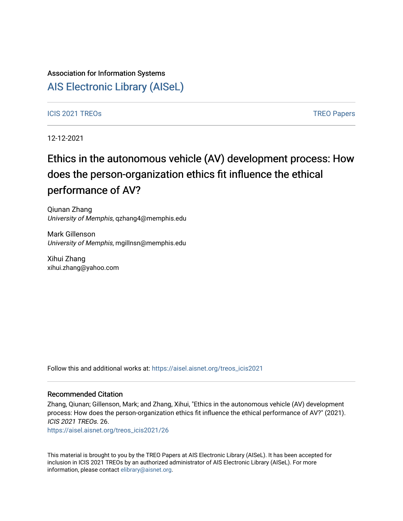## Association for Information Systems

# [AIS Electronic Library \(AISeL\)](https://aisel.aisnet.org/)

### ICIS 2021 TREOS Notes that the contract of the contract of the contract of the contract of the contract of the contract of the contract of the contract of the contract of the contract of the contract of the contract of the

12-12-2021

# Ethics in the autonomous vehicle (AV) development process: How does the person-organization ethics fit influence the ethical performance of AV?

Qiunan Zhang University of Memphis, qzhang4@memphis.edu

Mark Gillenson University of Memphis, mgillnsn@memphis.edu

Xihui Zhang xihui.zhang@yahoo.com

Follow this and additional works at: [https://aisel.aisnet.org/treos\\_icis2021](https://aisel.aisnet.org/treos_icis2021?utm_source=aisel.aisnet.org%2Ftreos_icis2021%2F26&utm_medium=PDF&utm_campaign=PDFCoverPages) 

#### Recommended Citation

Zhang, Qiunan; Gillenson, Mark; and Zhang, Xihui, "Ethics in the autonomous vehicle (AV) development process: How does the person-organization ethics fit influence the ethical performance of AV?" (2021). ICIS 2021 TREOs. 26.

[https://aisel.aisnet.org/treos\\_icis2021/26](https://aisel.aisnet.org/treos_icis2021/26?utm_source=aisel.aisnet.org%2Ftreos_icis2021%2F26&utm_medium=PDF&utm_campaign=PDFCoverPages) 

This material is brought to you by the TREO Papers at AIS Electronic Library (AISeL). It has been accepted for inclusion in ICIS 2021 TREOs by an authorized administrator of AIS Electronic Library (AISeL). For more information, please contact [elibrary@aisnet.org.](mailto:elibrary@aisnet.org%3E)